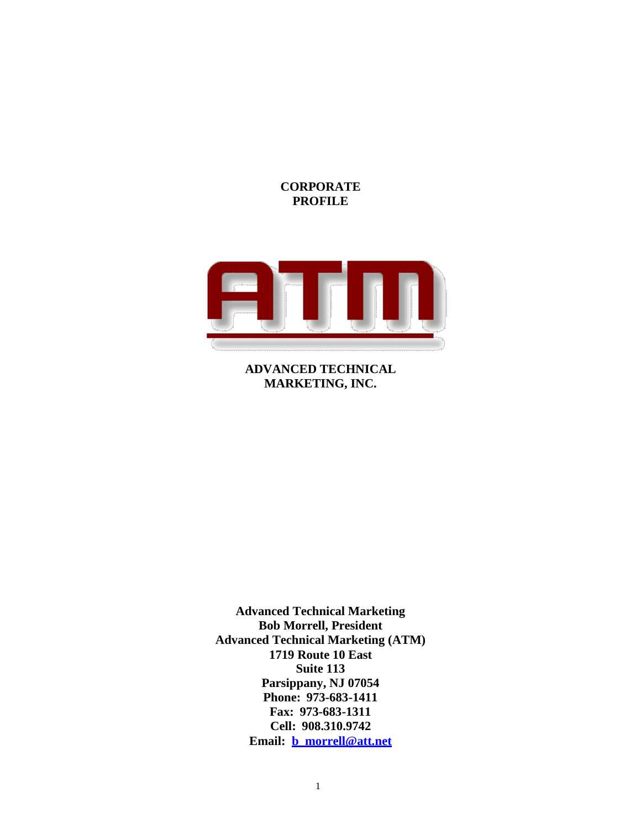## **CORPORATE PROFILE**



**ADVANCED TECHNICAL MARKETING, INC.**

**Advanced Technical Marketing Bob Morrell, President Advanced Technical Marketing (ATM) 1719 Route 10 East Suite 113 Parsippany, NJ 07054 Phone: 973-683-1411 Fax: 973-683-1311 Cell: 908.310.9742 Email: [b\\_morrell@att.net](mailto:b_morrell@att.net)**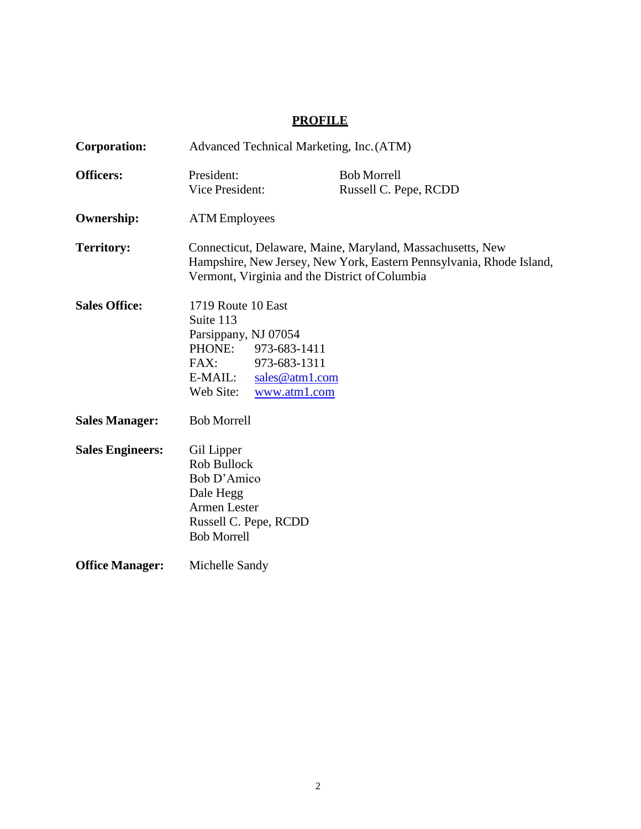# **PROFILE**

| Corporation:            | Advanced Technical Marketing, Inc. (ATM)                                                                                                                                             |                                                                |                                             |
|-------------------------|--------------------------------------------------------------------------------------------------------------------------------------------------------------------------------------|----------------------------------------------------------------|---------------------------------------------|
| <b>Officers:</b>        | President:<br><b>Vice President:</b>                                                                                                                                                 |                                                                | <b>Bob Morrell</b><br>Russell C. Pepe, RCDD |
| <b>Ownership:</b>       | <b>ATM</b> Employees                                                                                                                                                                 |                                                                |                                             |
| <b>Territory:</b>       | Connecticut, Delaware, Maine, Maryland, Massachusetts, New<br>Hampshire, New Jersey, New York, Eastern Pennsylvania, Rhode Island,<br>Vermont, Virginia and the District of Columbia |                                                                |                                             |
| <b>Sales Office:</b>    | 1719 Route 10 East<br>Suite 113<br>Parsippany, NJ 07054<br>PHONE:<br>FAX:<br>E-MAIL:<br>Web Site:                                                                                    | 973-683-1411<br>973-683-1311<br>sales@atm1.com<br>www.atm1.com |                                             |
| <b>Sales Manager:</b>   | <b>Bob Morrell</b>                                                                                                                                                                   |                                                                |                                             |
| <b>Sales Engineers:</b> | Gil Lipper<br>Rob Bullock<br>Bob D'Amico<br>Dale Hegg<br><b>Armen Lester</b><br>Russell C. Pepe, RCDD<br><b>Bob Morrell</b>                                                          |                                                                |                                             |
| <b>Office Manager:</b>  | Michelle Sandy                                                                                                                                                                       |                                                                |                                             |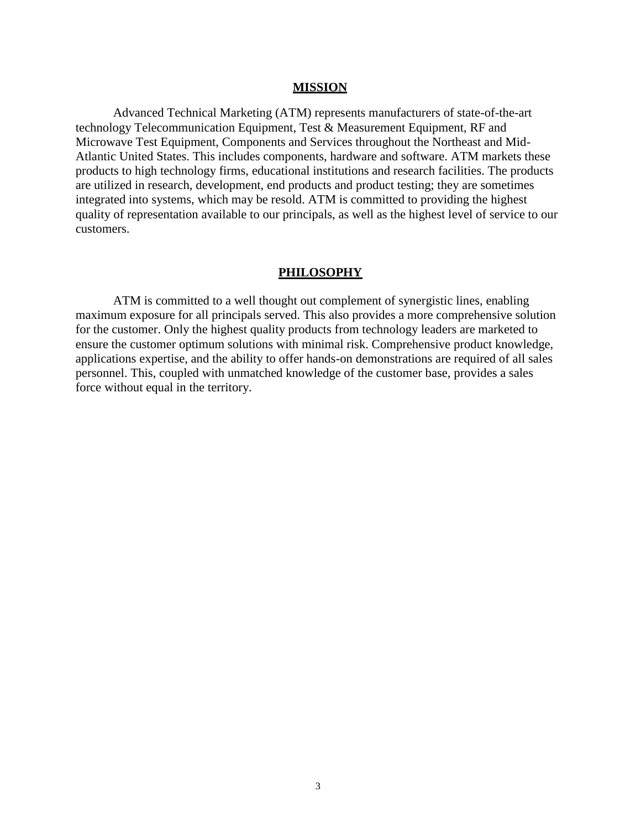#### **MISSION**

Advanced Technical Marketing (ATM) represents manufacturers of state-of-the-art technology Telecommunication Equipment, Test & Measurement Equipment, RF and Microwave Test Equipment, Components and Services throughout the Northeast and Mid-Atlantic United States. This includes components, hardware and software. ATM markets these products to high technology firms, educational institutions and research facilities. The products are utilized in research, development, end products and product testing; they are sometimes integrated into systems, which may be resold. ATM is committed to providing the highest quality of representation available to our principals, as well as the highest level of service to our customers.

#### **PHILOSOPHY**

ATM is committed to a well thought out complement of synergistic lines, enabling maximum exposure for all principals served. This also provides a more comprehensive solution for the customer. Only the highest quality products from technology leaders are marketed to ensure the customer optimum solutions with minimal risk. Comprehensive product knowledge, applications expertise, and the ability to offer hands-on demonstrations are required of all sales personnel. This, coupled with unmatched knowledge of the customer base, provides a sales force without equal in the territory.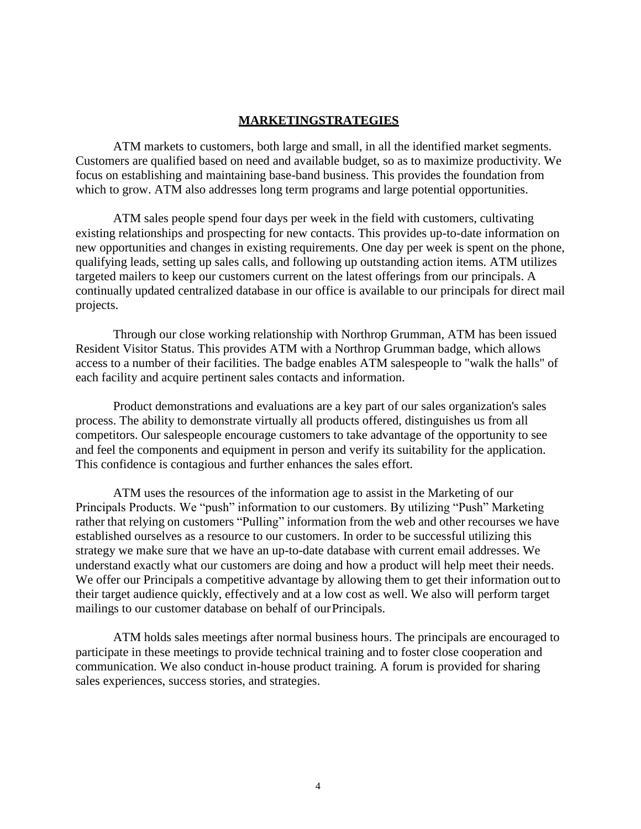### **MARKETINGSTRATEGIES**

ATM markets to customers, both large and small, in all the identified market segments. Customers are qualified based on need and available budget, so as to maximize productivity. We focus on establishing and maintaining base-band business. This provides the foundation from which to grow. ATM also addresses long term programs and large potential opportunities.

ATM sales people spend four days per week in the field with customers, cultivating existing relationships and prospecting for new contacts. This provides up-to-date information on new opportunities and changes in existing requirements. One day per week is spent on the phone, qualifying leads, setting up sales calls, and following up outstanding action items. ATM utilizes targeted mailers to keep our customers current on the latest offerings from our principals. A continually updated centralized database in our office is available to our principals for direct mail projects.

Through our close working relationship with Northrop Grumman, ATM has been issued Resident Visitor Status. This provides ATM with a Northrop Grumman badge, which allows access to a number of their facilities. The badge enables ATM salespeople to "walk the halls" of each facility and acquire pertinent sales contacts and information.

Product demonstrations and evaluations are a key part of our sales organization's sales process. The ability to demonstrate virtually all products offered, distinguishes us from all competitors. Our salespeople encourage customers to take advantage of the opportunity to see and feel the components and equipment in person and verify its suitability for the application. This confidence is contagious and further enhances the sales effort.

ATM uses the resources of the information age to assist in the Marketing of our Principals Products. We "push" information to our customers. By utilizing "Push" Marketing rather that relying on customers "Pulling" information from the web and other recourses we have established ourselves as a resource to our customers. In order to be successful utilizing this strategy we make sure that we have an up-to-date database with current email addresses. We understand exactly what our customers are doing and how a product will help meet their needs. We offer our Principals a competitive advantage by allowing them to get their information out to their target audience quickly, effectively and at a low cost as well. We also will perform target mailings to our customer database on behalf of our Principals.

ATM holds sales meetings after normal business hours. The principals are encouraged to participate in these meetings to provide technical training and to foster close cooperation and communication. We also conduct in-house product training. A forum is provided for sharing sales experiences, success stories, and strategies.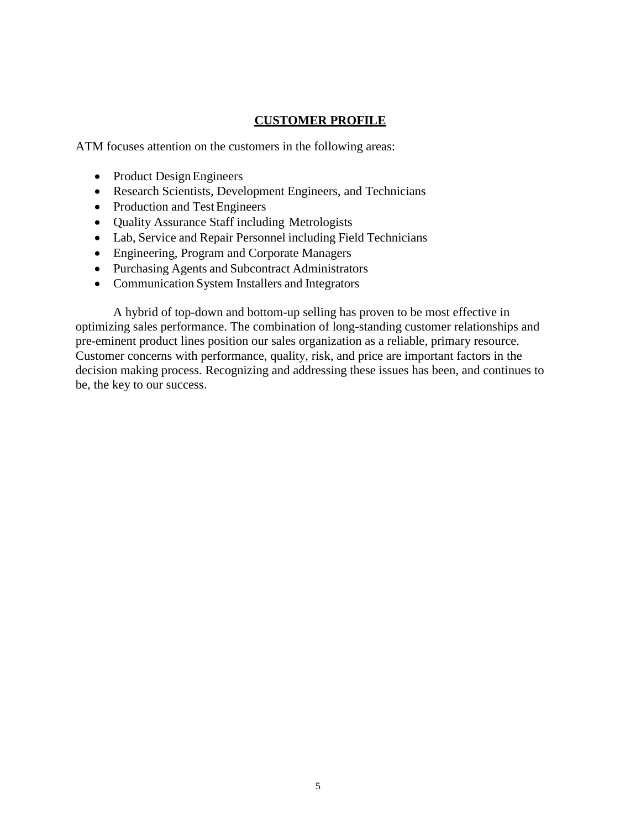# **CUSTOMER PROFILE**

ATM focuses attention on the customers in the following areas:

- Product Design Engineers
- Research Scientists, Development Engineers, and Technicians
- Production and Test Engineers
- Quality Assurance Staff including Metrologists
- Lab, Service and Repair Personnel including Field Technicians
- Engineering, Program and Corporate Managers
- Purchasing Agents and Subcontract Administrators
- Communication System Installers and Integrators

A hybrid of top-down and bottom-up selling has proven to be most effective in optimizing sales performance. The combination of long-standing customer relationships and pre-eminent product lines position our sales organization as a reliable, primary resource. Customer concerns with performance, quality, risk, and price are important factors in the decision making process. Recognizing and addressing these issues has been, and continues to be, the key to our success.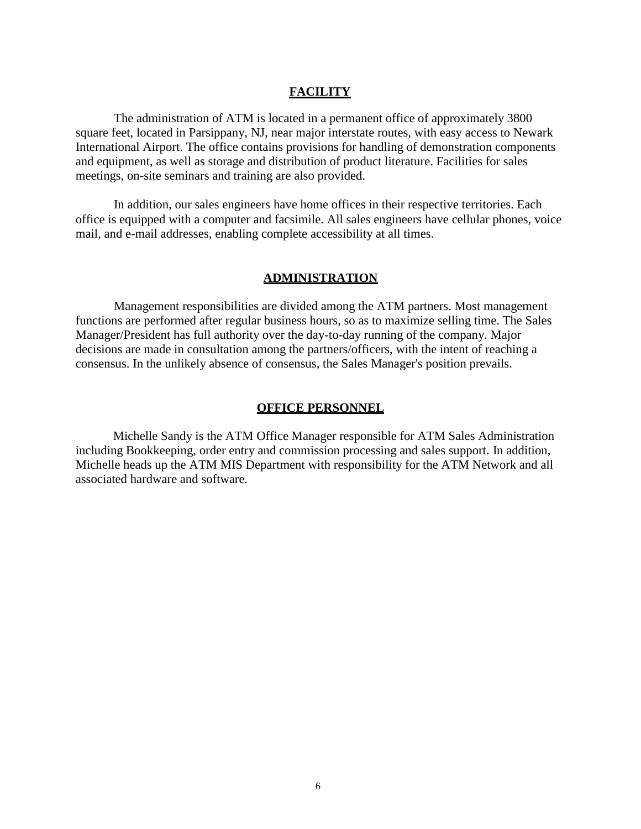### **FACILITY**

The administration of ATM is located in a permanent office of approximately 3800 square feet, located in Parsippany, NJ, near major interstate routes, with easy access to Newark International Airport. The office contains provisions for handling of demonstration components and equipment, as well as storage and distribution of product literature. Facilities for sales meetings, on-site seminars and training are also provided.

In addition, our sales engineers have home offices in their respective territories. Each office is equipped with a computer and facsimile. All sales engineers have cellular phones, voice mail, and e-mail addresses, enabling complete accessibility at all times.

#### **ADMINISTRATION**

Management responsibilities are divided among the ATM partners. Most management functions are performed after regular business hours, so as to maximize selling time. The Sales Manager/President has full authority over the day-to-day running of the company. Major decisions are made in consultation among the partners/officers, with the intent of reaching a consensus. In the unlikely absence of consensus, the Sales Manager's position prevails.

#### **OFFICE PERSONNEL**

Michelle Sandy is the ATM Office Manager responsible for ATM Sales Administration including Bookkeeping, order entry and commission processing and sales support. In addition, Michelle heads up the ATM MIS Department with responsibility for the ATM Network and all associated hardware and software.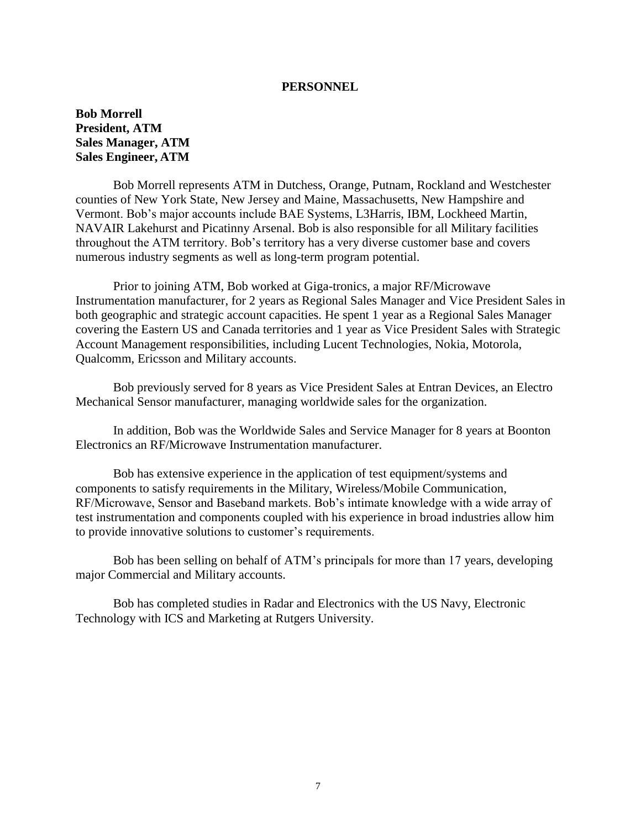**Bob Morrell President, ATM Sales Manager, ATM Sales Engineer, ATM**

Bob Morrell represents ATM in Dutchess, Orange, Putnam, Rockland and Westchester counties of New York State, New Jersey and Maine, Massachusetts, New Hampshire and Vermont. Bob's major accounts include BAE Systems, L3Harris, IBM, Lockheed Martin, NAVAIR Lakehurst and Picatinny Arsenal. Bob is also responsible for all Military facilities throughout the ATM territory. Bob's territory has a very diverse customer base and covers numerous industry segments as well as long-term program potential.

Prior to joining ATM, Bob worked at Giga-tronics, a major RF/Microwave Instrumentation manufacturer, for 2 years as Regional Sales Manager and Vice President Sales in both geographic and strategic account capacities. He spent 1 year as a Regional Sales Manager covering the Eastern US and Canada territories and 1 year as Vice President Sales with Strategic Account Management responsibilities, including Lucent Technologies, Nokia, Motorola, Qualcomm, Ericsson and Military accounts.

Bob previously served for 8 years as Vice President Sales at Entran Devices, an Electro Mechanical Sensor manufacturer, managing worldwide sales for the organization.

In addition, Bob was the Worldwide Sales and Service Manager for 8 years at Boonton Electronics an RF/Microwave Instrumentation manufacturer.

Bob has extensive experience in the application of test equipment/systems and components to satisfy requirements in the Military, Wireless/Mobile Communication, RF/Microwave, Sensor and Baseband markets. Bob's intimate knowledge with a wide array of test instrumentation and components coupled with his experience in broad industries allow him to provide innovative solutions to customer's requirements.

Bob has been selling on behalf of ATM's principals for more than 17 years, developing major Commercial and Military accounts.

Bob has completed studies in Radar and Electronics with the US Navy, Electronic Technology with ICS and Marketing at Rutgers University.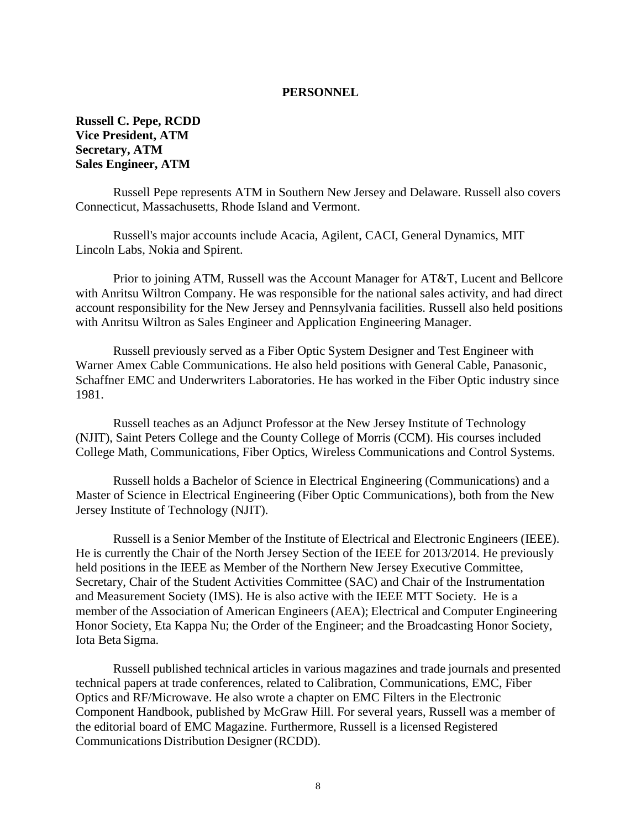**Russell C. Pepe, RCDD Vice President, ATM Secretary, ATM Sales Engineer, ATM**

Russell Pepe represents ATM in Southern New Jersey and Delaware. Russell also covers Connecticut, Massachusetts, Rhode Island and Vermont.

Russell's major accounts include Acacia, Agilent, CACI, General Dynamics, MIT Lincoln Labs, Nokia and Spirent.

Prior to joining ATM, Russell was the Account Manager for AT&T, Lucent and Bellcore with Anritsu Wiltron Company. He was responsible for the national sales activity, and had direct account responsibility for the New Jersey and Pennsylvania facilities. Russell also held positions with Anritsu Wiltron as Sales Engineer and Application Engineering Manager.

Russell previously served as a Fiber Optic System Designer and Test Engineer with Warner Amex Cable Communications. He also held positions with General Cable, Panasonic, Schaffner EMC and Underwriters Laboratories. He has worked in the Fiber Optic industry since 1981.

Russell teaches as an Adjunct Professor at the New Jersey Institute of Technology (NJIT), Saint Peters College and the County College of Morris (CCM). His courses included College Math, Communications, Fiber Optics, Wireless Communications and Control Systems.

Russell holds a Bachelor of Science in Electrical Engineering (Communications) and a Master of Science in Electrical Engineering (Fiber Optic Communications), both from the New Jersey Institute of Technology (NJIT).

Russell is a Senior Member of the Institute of Electrical and Electronic Engineers (IEEE). He is currently the Chair of the North Jersey Section of the IEEE for 2013/2014. He previously held positions in the IEEE as Member of the Northern New Jersey Executive Committee, Secretary, Chair of the Student Activities Committee (SAC) and Chair of the Instrumentation and Measurement Society (IMS). He is also active with the IEEE MTT Society. He is a member of the Association of American Engineers (AEA); Electrical and Computer Engineering Honor Society, Eta Kappa Nu; the Order of the Engineer; and the Broadcasting Honor Society, Iota Beta Sigma.

Russell published technical articles in various magazines and trade journals and presented technical papers at trade conferences, related to Calibration, Communications, EMC, Fiber Optics and RF/Microwave. He also wrote a chapter on EMC Filters in the Electronic Component Handbook, published by McGraw Hill. For several years, Russell was a member of the editorial board of EMC Magazine. Furthermore, Russell is a licensed Registered Communications Distribution Designer (RCDD).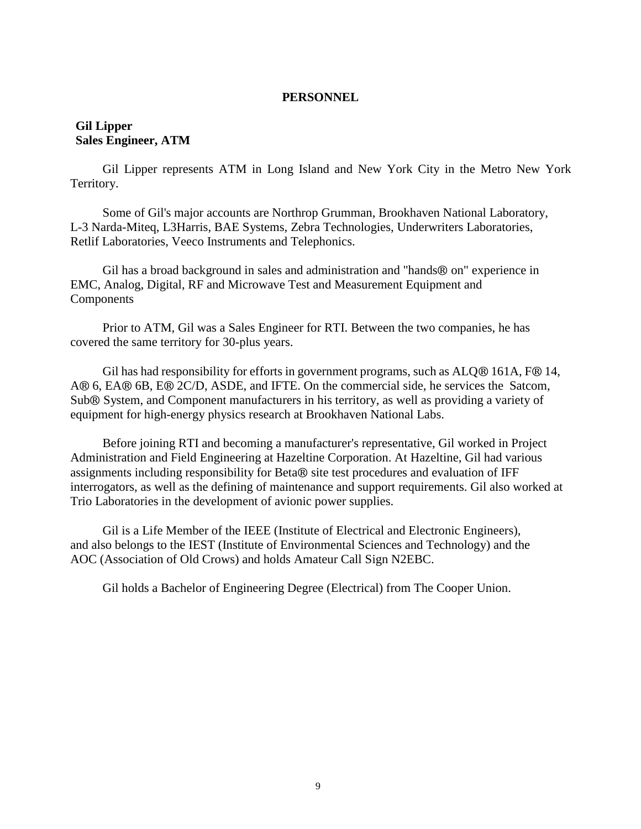## **Gil Lipper Sales Engineer, ATM**

Gil Lipper represents ATM in Long Island and New York City in the Metro New York Territory.

Some of Gil's major accounts are Northrop Grumman, Brookhaven National Laboratory, L-3 Narda-Miteq, L3Harris, BAE Systems, Zebra Technologies, Underwriters Laboratories, Retlif Laboratories, Veeco Instruments and Telephonics.

Gil has a broad background in sales and administration and "hands® on" experience in EMC, Analog, Digital, RF and Microwave Test and Measurement Equipment and Components

Prior to ATM, Gil was a Sales Engineer for RTI. Between the two companies, he has covered the same territory for 30-plus years.

Gil has had responsibility for efforts in government programs, such as ALQ® 161A, F® 14, A® 6, EA® 6B, E® 2C/D, ASDE, and IFTE. On the commercial side, he services the Satcom, Sub® System, and Component manufacturers in his territory, as well as providing a variety of equipment for high-energy physics research at Brookhaven National Labs.

Before joining RTI and becoming a manufacturer's representative, Gil worked in Project Administration and Field Engineering at Hazeltine Corporation. At Hazeltine, Gil had various assignments including responsibility for Beta® site test procedures and evaluation of IFF interrogators, as well as the defining of maintenance and support requirements. Gil also worked at Trio Laboratories in the development of avionic power supplies.

Gil is a Life Member of the IEEE (Institute of Electrical and Electronic Engineers), and also belongs to the IEST (Institute of Environmental Sciences and Technology) and the AOC (Association of Old Crows) and holds Amateur Call Sign N2EBC.

Gil holds a Bachelor of Engineering Degree (Electrical) from The Cooper Union.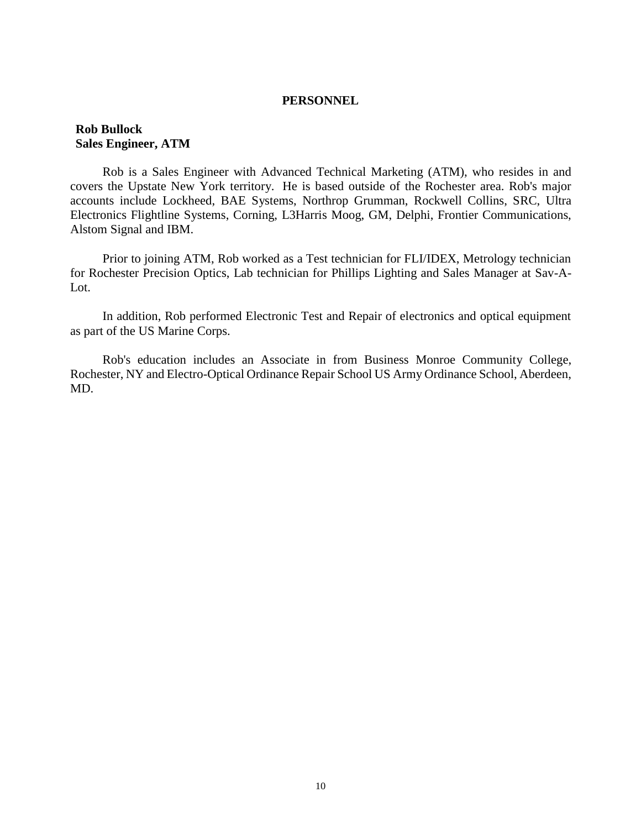### **Rob Bullock Sales Engineer, ATM**

Rob is a Sales Engineer with Advanced Technical Marketing (ATM), who resides in and covers the Upstate New York territory. He is based outside of the Rochester area. Rob's major accounts include Lockheed, BAE Systems, Northrop Grumman, Rockwell Collins, SRC, Ultra Electronics Flightline Systems, Corning, L3Harris Moog, GM, Delphi, Frontier Communications, Alstom Signal and IBM.

Prior to joining ATM, Rob worked as a Test technician for FLI/IDEX, Metrology technician for Rochester Precision Optics, Lab technician for Phillips Lighting and Sales Manager at Sav-A-Lot.

In addition, Rob performed Electronic Test and Repair of electronics and optical equipment as part of the US Marine Corps.

Rob's education includes an Associate in from Business Monroe Community College, Rochester, NY and Electro-Optical Ordinance Repair School US Army Ordinance School, Aberdeen, MD.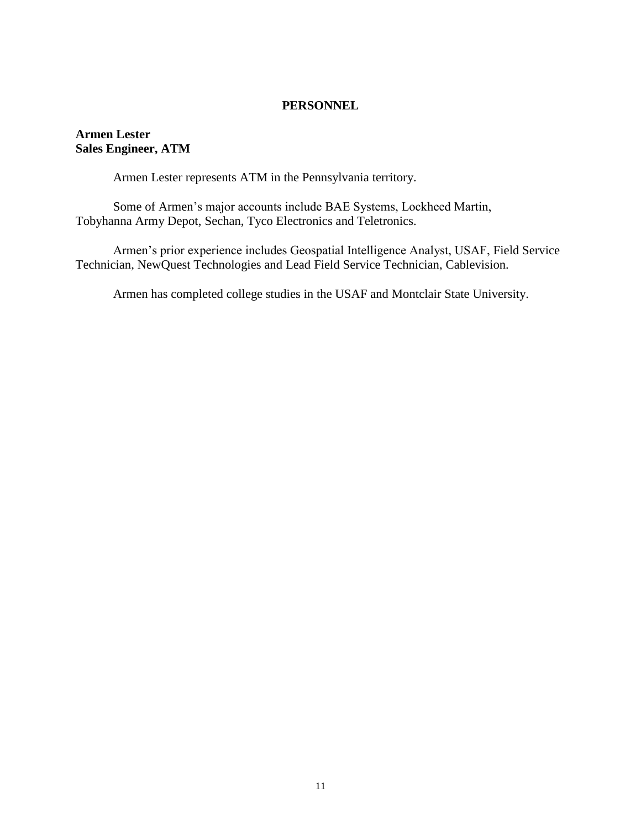# **Armen Lester Sales Engineer, ATM**

Armen Lester represents ATM in the Pennsylvania territory.

Some of Armen's major accounts include BAE Systems, Lockheed Martin, Tobyhanna Army Depot, Sechan, Tyco Electronics and Teletronics.

Armen's prior experience includes Geospatial Intelligence Analyst, USAF, Field Service Technician, NewQuest Technologies and Lead Field Service Technician, Cablevision.

Armen has completed college studies in the USAF and Montclair State University.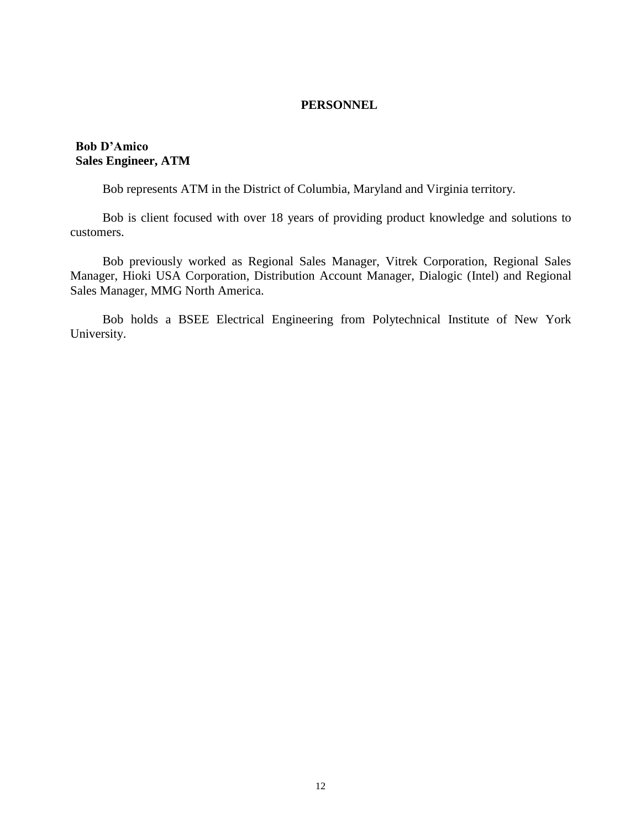## **Bob D'Amico Sales Engineer, ATM**

Bob represents ATM in the District of Columbia, Maryland and Virginia territory.

Bob is client focused with over 18 years of providing product knowledge and solutions to customers.

Bob previously worked as Regional Sales Manager, Vitrek Corporation, Regional Sales Manager, Hioki USA Corporation, Distribution Account Manager, Dialogic (Intel) and Regional Sales Manager, MMG North America.

Bob holds a BSEE Electrical Engineering from Polytechnical Institute of New York University.